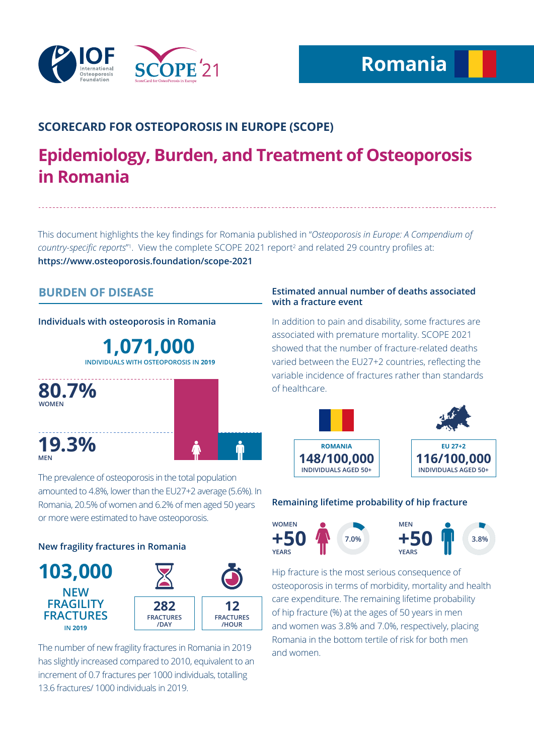

## **SCORECARD FOR OSTEOPOROSIS IN EUROPE (SCOPE)**

## **Epidemiology, Burden, and Treatment of Osteoporosis in Romania**

This document highlights the key findings for Romania published in "*Osteoporosis in Europe: A Compendium of*  country-specific reports<sup>"</sup>. View the complete SCOPE 2021 report<sup>2</sup> and related 29 country profiles at: **https://www.osteoporosis.foundation/scope-2021**

## **BURDEN OF DISEASE**

**Individuals with osteoporosis in Romania**

**1,071,000 INDIVIDUALS WITH OSTEOPOROSIS IN 2019**



The prevalence of osteoporosis in the total population amounted to 4.8%, lower than the EU27+2 average (5.6%). In Romania, 20.5% of women and 6.2% of men aged 50 years or more were estimated to have osteoporosis.

## **New fragility fractures in Romania**



The number of new fragility fractures in Romania in 2019 has slightly increased compared to 2010, equivalent to an increment of 0.7 fractures per 1000 individuals, totalling 13.6 fractures/ 1000 individuals in 2019.

#### **Estimated annual number of deaths associated with a fracture event**

In addition to pain and disability, some fractures are associated with premature mortality. SCOPE 2021 showed that the number of fracture-related deaths varied between the EU27+2 countries, reflecting the variable incidence of fractures rather than standards of healthcare.



#### **Remaining lifetime probability of hip fracture**



Hip fracture is the most serious consequence of osteoporosis in terms of morbidity, mortality and health care expenditure. The remaining lifetime probability of hip fracture (%) at the ages of 50 years in men and women was 3.8% and 7.0%, respectively, placing Romania in the bottom tertile of risk for both men and women.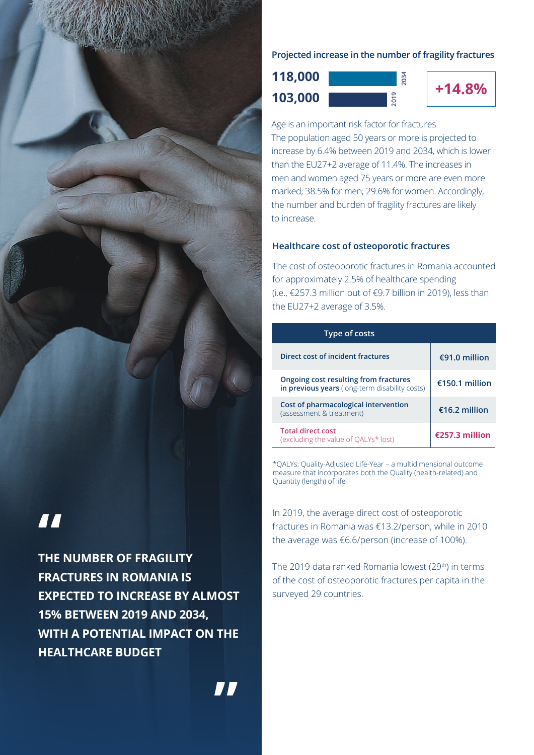

# **"**

**THE NUMBER OF FRAGILITY FRACTURES IN ROMANIA IS EXPECTED TO INCREASE BY ALMOST 15% BETWEEN 2019 AND 2034, WITH A POTENTIAL IMPACT ON THE HEALTHCARE BUDGET**

#### **Projected increase in the number of fragility fractures**

**+14.8% 103,000 118,000**



**2034**

Age is an important risk factor for fractures. The population aged 50 years or more is projected to increase by 6.4% between 2019 and 2034, which is lower than the EU27+2 average of 11.4%. The increases in men and women aged 75 years or more are even more marked; 38.5% for men; 29.6% for women. Accordingly, the number and burden of fragility fractures are likely to increase.

#### **Healthcare cost of osteoporotic fractures**

The cost of osteoporotic fractures in Romania accounted for approximately 2.5% of healthcare spending (i.e., €257.3 million out of €9.7 billion in 2019), less than the EU27+2 average of 3.5%.

| <b>Type of costs</b>                                                                    |                |
|-----------------------------------------------------------------------------------------|----------------|
| Direct cost of incident fractures                                                       | €91.0 million  |
| Ongoing cost resulting from fractures<br>in previous years (long-term disability costs) | €150.1 million |
| Cost of pharmacological intervention<br>(assessment & treatment)                        | €16.2 million  |
| <b>Total direct cost</b><br>(excluding the value of OALYs* lost)                        | €257.3 million |

\*QALYs: Quality-Adjusted Life-Year – a multidimensional outcome measure that incorporates both the Quality (health-related) and Quantity (length) of life

In 2019, the average direct cost of osteoporotic fractures in Romania was €13.2/person, while in 2010 the average was €6.6/person (increase of 100%).

The 2019 data ranked Romania lowest (29<sup>th</sup>) in terms of the cost of osteoporotic fractures per capita in the surveyed 29 countries.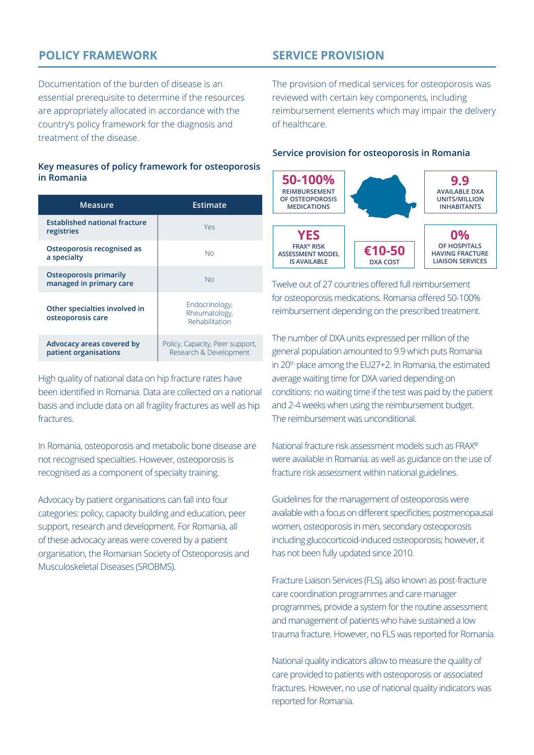## **POLICY FRAMEWORK**

Documentation of the burden of disease is an essential prerequisite to determine if the resources are appropriately allocated in accordance with the country's policy framework for the diagnosis and treatment of the disease.

#### **Key measures of policy framework for osteoporosis in Romania**

| Measure                                                  | Estimate                                                  |
|----------------------------------------------------------|-----------------------------------------------------------|
| <b>Established national fracture</b><br>registries       | Yes                                                       |
| Osteoporosis recognised as<br>a specialty                | No                                                        |
| <b>Osteoporosis primarily</b><br>managed in primary care | <b>No</b>                                                 |
| Other specialties involved in<br>osteoporosis care       | Endocrinology,<br>Rheumatology,<br>Rehabilitation         |
| Advocacy areas covered by<br>patient organisations       | Policy, Capacity, Peer support,<br>Research & Development |

High quality of national data on hip fracture rates have been identified in Romania. Data are collected on a national basis and include data on all fragility fractures as well as hip fractures.

In Romania, osteoporosis and metabolic bone disease are not recognised specialties. However, osteoporosis is recognised as a component of specialty training.

Advocacy by patient organisations can fall into four categories: policy, capacity building and education, peer support, research and development. For Romania, all of these advocacy areas were covered by a patient organisation, the Romanian Society of Osteoporosis and Musculoskeletal Diseases (SROBMS).

## **SERVICE PROVISION**

The provision of medical services for osteoporosis was reviewed with certain key components, including reimbursement elements which may impair the delivery of healthcare.

#### **Service provision for osteoporosis in Romania**



Twelve out of 27 countries offered full reimbursement for osteoporosis medications. Romania offered 50-100% reimbursement depending on the prescribed treatment.

The number of DXA units expressed per million of the general population amounted to 9.9 which puts Romania in 20<sup>th</sup> place among the EU27+2. In Romania, the estimated average waiting time for DXA varied depending on conditions: no waiting time if the test was paid by the patient and 2-4 weeks when using the reimbursement budget. The reimbursement was unconditional.

National fracture risk assessment models such as FRAX® were available in Romania, as well as guidance on the use of fracture risk assessment within national guidelines.

Guidelines for the management of osteoporosis were available with a focus on different specificities; postmenopausal women, osteoporosis in men, secondary osteoporosis including glucocorticoid-induced osteoporosis; however, it has not been fully updated since 2010.

Fracture Liaison Services (FLS), also known as post-fracture care coordination programmes and care manager programmes, provide a system for the routine assessment and management of patients who have sustained a low trauma fracture. However, no FLS was reported for Romania.

National quality indicators allow to measure the quality of care provided to patients with osteoporosis or associated fractures. However, no use of national quality indicators was reported for Romania.